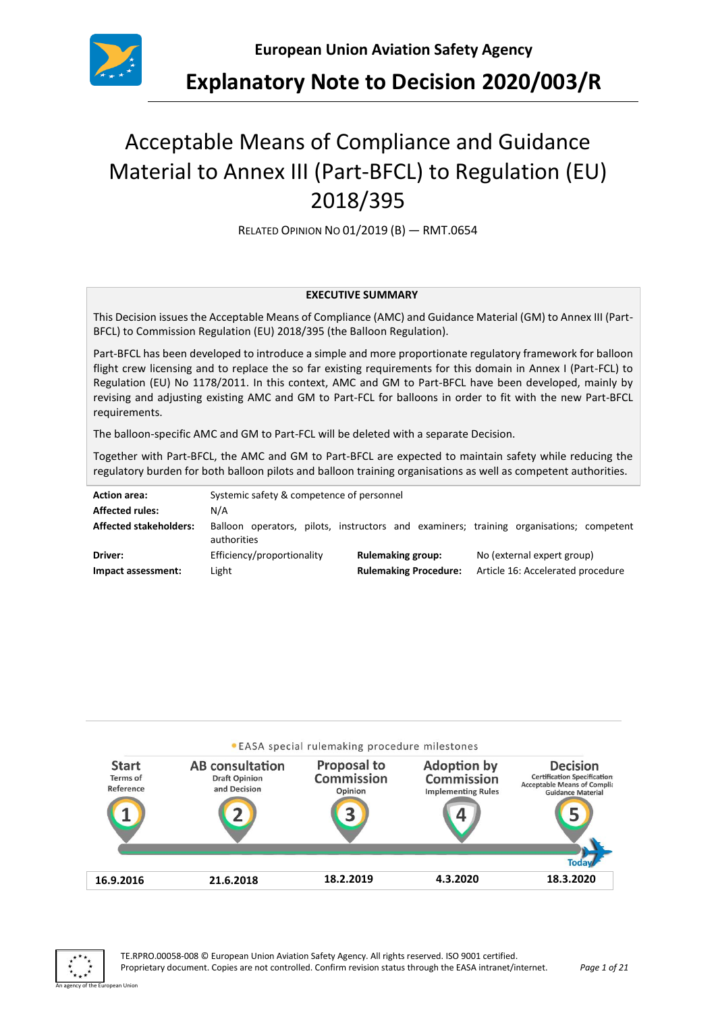

# Acceptable Means of Compliance and Guidance Material to Annex III (Part-BFCL) to Regulation (EU) 2018/395

RELATED OPINION NO 01/2019 (B) — RMT.0654

#### **EXECUTIVE SUMMARY**

This Decision issues the Acceptable Means of Compliance (AMC) and Guidance Material (GM) to Annex III (Part-BFCL) to Commission Regulation (EU) 2018/395 (the Balloon Regulation).

Part-BFCL has been developed to introduce a simple and more proportionate regulatory framework for balloon flight crew licensing and to replace the so far existing requirements for this domain in Annex I (Part-FCL) to Regulation (EU) No 1178/2011. In this context, AMC and GM to Part-BFCL have been developed, mainly by revising and adjusting existing AMC and GM to Part-FCL for balloons in order to fit with the new Part-BFCL requirements.

The balloon-specific AMC and GM to Part-FCL will be deleted with a separate Decision.

Together with Part-BFCL, the AMC and GM to Part-BFCL are expected to maintain safety while reducing the regulatory burden for both balloon pilots and balloon training organisations as well as competent authorities.

| <b>Action area:</b><br><b>Affected rules:</b> | Systemic safety & competence of personnel<br>N/A |                              |                                                                                         |  |  |
|-----------------------------------------------|--------------------------------------------------|------------------------------|-----------------------------------------------------------------------------------------|--|--|
| <b>Affected stakeholders:</b>                 | authorities                                      |                              | Balloon operators, pilots, instructors and examiners; training organisations; competent |  |  |
| Driver:                                       | Efficiency/proportionality                       | <b>Rulemaking group:</b>     | No (external expert group)                                                              |  |  |
| Impact assessment:                            | Light                                            | <b>Rulemaking Procedure:</b> | Article 16: Accelerated procedure                                                       |  |  |



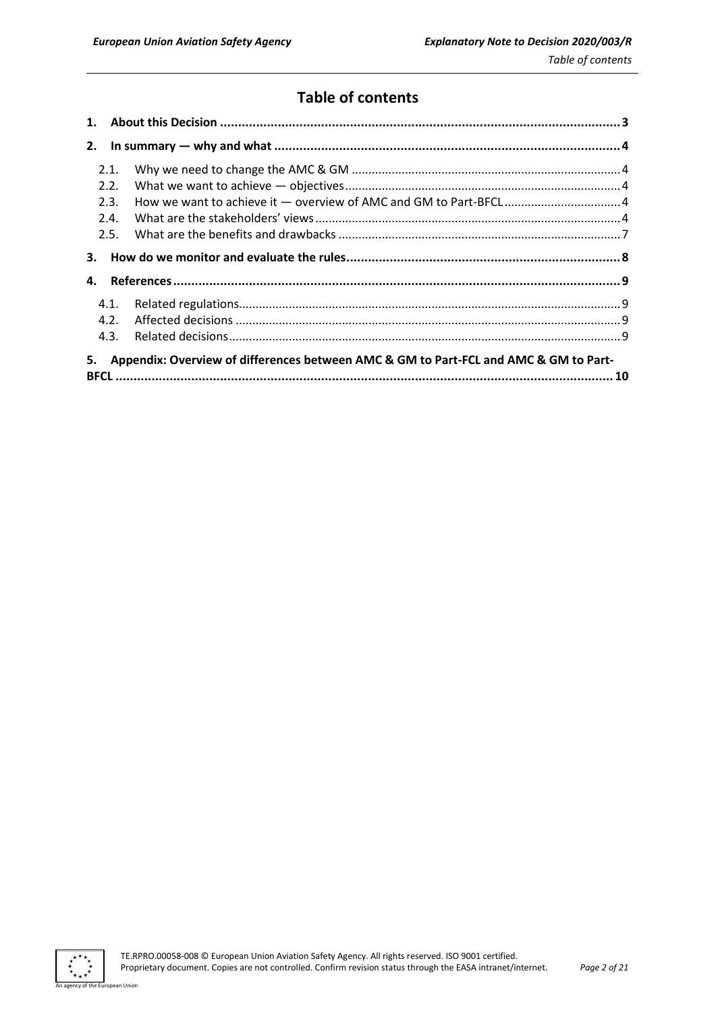# **Table of contents**

| 1.   |                                                                                      |  |
|------|--------------------------------------------------------------------------------------|--|
| 2.   |                                                                                      |  |
| 2.1. |                                                                                      |  |
| 2.2. |                                                                                      |  |
| 2.3. |                                                                                      |  |
| 2.4. |                                                                                      |  |
| 2.5. |                                                                                      |  |
| 3.   |                                                                                      |  |
| 4.   |                                                                                      |  |
| 4.1. |                                                                                      |  |
| 4.2. |                                                                                      |  |
| 4.3. |                                                                                      |  |
| 5.   | Appendix: Overview of differences between AMC & GM to Part-FCL and AMC & GM to Part- |  |
|      |                                                                                      |  |



ean Union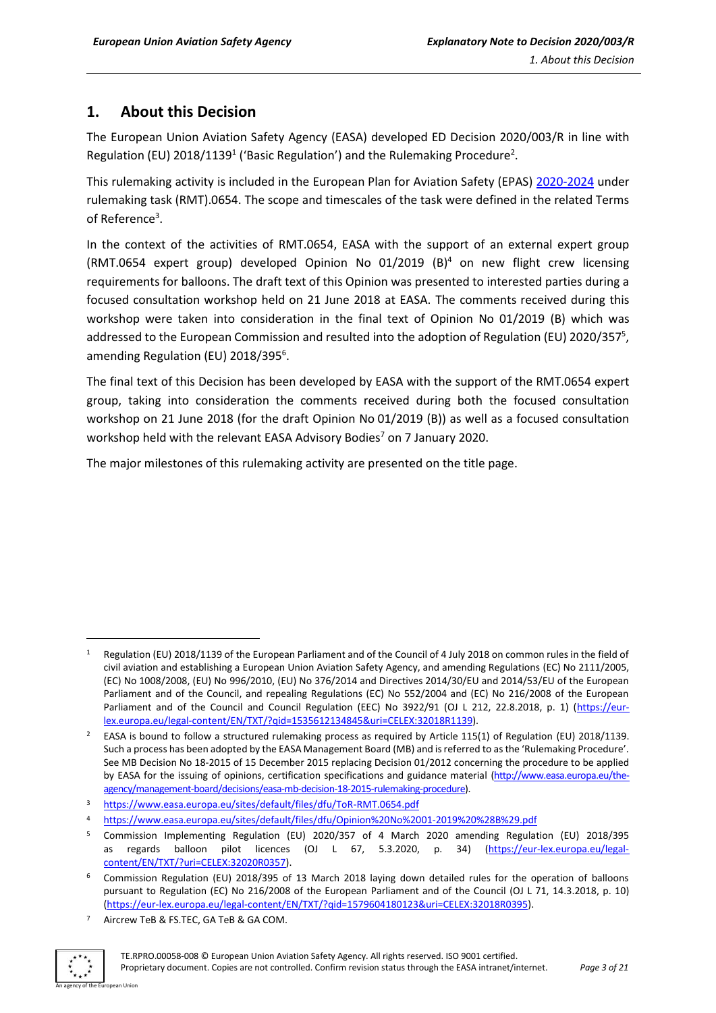# <span id="page-2-0"></span>**1. About this Decision**

The European Union Aviation Safety Agency (EASA) developed ED Decision 2020/003/R in line with Regulation (EU) 2018/1139<sup>1</sup> ('Basic Regulation') and the Rulemaking Procedure<sup>2</sup>.

This rulemaking activity is included in the European Plan for Aviation Safety (EPAS) [2020-2024](https://www.easa.europa.eu/sites/default/files/dfu/EPAS_2020-2024.pdf) under rulemaking task (RMT).0654. The scope and timescales of the task were defined in the related Terms of Reference<sup>3</sup>.

In the context of the activities of RMT.0654, EASA with the support of an external expert group (RMT.0654 expert group) developed Opinion No 01/2019 (B) <sup>4</sup> on new flight crew licensing requirements for balloons. The draft text of this Opinion was presented to interested parties during a focused consultation workshop held on 21 June 2018 at EASA. The comments received during this workshop were taken into consideration in the final text of Opinion No 01/2019 (B) which was addressed to the European Commission and resulted into the adoption of Regulation (EU) 2020/357<sup>5</sup>, amending Regulation (EU) 2018/395<sup>6</sup>.

The final text of this Decision has been developed by EASA with the support of the RMT.0654 expert group, taking into consideration the comments received during both the focused consultation workshop on 21 June 2018 (for the draft Opinion No 01/2019 (B)) as well as a focused consultation workshop held with the relevant EASA Advisory Bodies<sup>7</sup> on 7 January 2020.

The major milestones of this rulemaking activity are presented on the title page.

<sup>7</sup> Aircrew TeB & FS.TEC, GA TeB & GA COM.



**.** 

<sup>1</sup> Regulation (EU) 2018/1139 of the European Parliament and of the Council of 4 July 2018 on common rules in the field of civil aviation and establishing a European Union Aviation Safety Agency, and amending Regulations (EC) No 2111/2005, (EC) No 1008/2008, (EU) No 996/2010, (EU) No 376/2014 and Directives 2014/30/EU and 2014/53/EU of the European Parliament and of the Council, and repealing Regulations (EC) No 552/2004 and (EC) No 216/2008 of the European Parliament and of the Council and Council Regulation (EEC) No 3922/91 (OJ L 212, 22.8.2018, p. 1) [\(https://eur](https://eur-lex.europa.eu/legal-content/EN/TXT/?qid=1535612134845&uri=CELEX:32018R1139)[lex.europa.eu/legal-content/EN/TXT/?qid=1535612134845&uri=CELEX:32018R1139\)](https://eur-lex.europa.eu/legal-content/EN/TXT/?qid=1535612134845&uri=CELEX:32018R1139).

<sup>&</sup>lt;sup>2</sup> EASA is bound to follow a structured rulemaking process as required by Article 115(1) of Regulation (EU) 2018/1139. Such a process has been adopted by the EASA Management Board (MB) and is referred to as the 'Rulemaking Procedure'. See MB Decision No 18-2015 of 15 December 2015 replacing Decision 01/2012 concerning the procedure to be applied by EASA for the issuing of opinions, certification specifications and guidance material [\(http://www.easa.europa.eu/the](http://www.easa.europa.eu/the-agency/management-board/decisions/easa-mb-decision-18-2015-rulemaking-procedure)[agency/management-board/decisions/easa-mb-decision-18-2015-rulemaking-procedure\)](http://www.easa.europa.eu/the-agency/management-board/decisions/easa-mb-decision-18-2015-rulemaking-procedure).

<sup>3</sup> <https://www.easa.europa.eu/sites/default/files/dfu/ToR-RMT.0654.pdf>

<sup>4</sup> <https://www.easa.europa.eu/sites/default/files/dfu/Opinion%20No%2001-2019%20%28B%29.pdf>

<sup>5</sup> Commission Implementing Regulation (EU) 2020/357 of 4 March 2020 amending Regulation (EU) 2018/395 as regards balloon pilot licences (OJ L 67, 5.3.2020, p. 34) [\(https://eur-lex.europa.eu/legal](https://eur-lex.europa.eu/legal-content/EN/TXT/?uri=CELEX:32020R0357)[content/EN/TXT/?uri=CELEX:32020R0357\)](https://eur-lex.europa.eu/legal-content/EN/TXT/?uri=CELEX:32020R0357).

<sup>6</sup> Commission Regulation (EU) 2018/395 of 13 March 2018 laying down detailed rules for the operation of balloons pursuant to Regulation (EC) No 216/2008 of the European Parliament and of the Council (OJ L 71, 14.3.2018, p. 10) [\(https://eur-lex.europa.eu/legal-content/EN/TXT/?qid=1579604180123&uri=CELEX:32018R0395\)](https://eur-lex.europa.eu/legal-content/EN/TXT/?qid=1579604180123&uri=CELEX:32018R0395).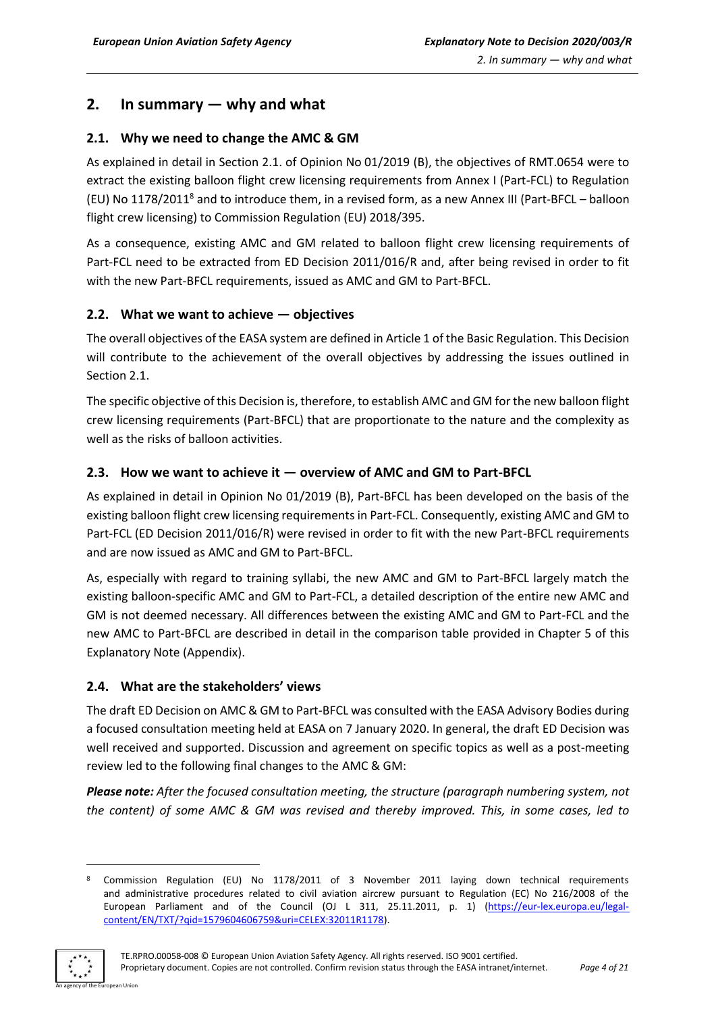# <span id="page-3-0"></span>**2. In summary — why and what**

# <span id="page-3-1"></span>**2.1. Why we need to change the AMC & GM**

As explained in detail in Section 2.1. of Opinion No 01/2019 (B), the objectives of RMT.0654 were to extract the existing balloon flight crew licensing requirements from Annex I (Part-FCL) to Regulation (EU) No 1178/2011<sup>8</sup> and to introduce them, in a revised form, as a new Annex III (Part-BFCL – balloon flight crew licensing) to Commission Regulation (EU) 2018/395.

As a consequence, existing AMC and GM related to balloon flight crew licensing requirements of Part-FCL need to be extracted from ED Decision 2011/016/R and, after being revised in order to fit with the new Part-BFCL requirements, issued as AMC and GM to Part-BFCL.

# <span id="page-3-2"></span>**2.2. What we want to achieve — objectives**

The overall objectives of the EASA system are defined in Article 1 of the Basic Regulation. This Decision will contribute to the achievement of the overall objectives by addressing the issues outlined in Section 2.1.

The specific objective of this Decision is, therefore, to establish AMC and GM for the new balloon flight crew licensing requirements (Part-BFCL) that are proportionate to the nature and the complexity as well as the risks of balloon activities.

# <span id="page-3-3"></span>**2.3. How we want to achieve it — overview of AMC and GM to Part-BFCL**

As explained in detail in Opinion No 01/2019 (B), Part-BFCL has been developed on the basis of the existing balloon flight crew licensing requirements in Part-FCL. Consequently, existing AMC and GM to Part-FCL (ED Decision 2011/016/R) were revised in order to fit with the new Part-BFCL requirements and are now issued as AMC and GM to Part-BFCL.

As, especially with regard to training syllabi, the new AMC and GM to Part-BFCL largely match the existing balloon-specific AMC and GM to Part-FCL, a detailed description of the entire new AMC and GM is not deemed necessary. All differences between the existing AMC and GM to Part-FCL and the new AMC to Part-BFCL are described in detail in the comparison table provided in Chapter 5 of this Explanatory Note (Appendix).

# <span id="page-3-4"></span>**2.4. What are the stakeholders' views**

The draft ED Decision on AMC & GM to Part-BFCL was consulted with the EASA Advisory Bodies during a focused consultation meeting held at EASA on 7 January 2020. In general, the draft ED Decision was well received and supported. Discussion and agreement on specific topics as well as a post-meeting review led to the following final changes to the AMC & GM:

*Please note: After the focused consultation meeting, the structure (paragraph numbering system, not the content) of some AMC & GM was revised and thereby improved. This, in some cases, led to* 

<sup>8</sup> Commission Regulation (EU) No 1178/2011 of 3 November 2011 laying down technical requirements and administrative procedures related to civil aviation aircrew pursuant to Regulation (EC) No 216/2008 of the European Parliament and of the Council (OJ L 311, 25.11.2011, p. 1) [\(https://eur-lex.europa.eu/legal](https://eur-lex.europa.eu/legal-content/EN/TXT/?qid=1579604606759&uri=CELEX:32011R1178)[content/EN/TXT/?qid=1579604606759&uri=CELEX:32011R1178\)](https://eur-lex.europa.eu/legal-content/EN/TXT/?qid=1579604606759&uri=CELEX:32011R1178).



**.**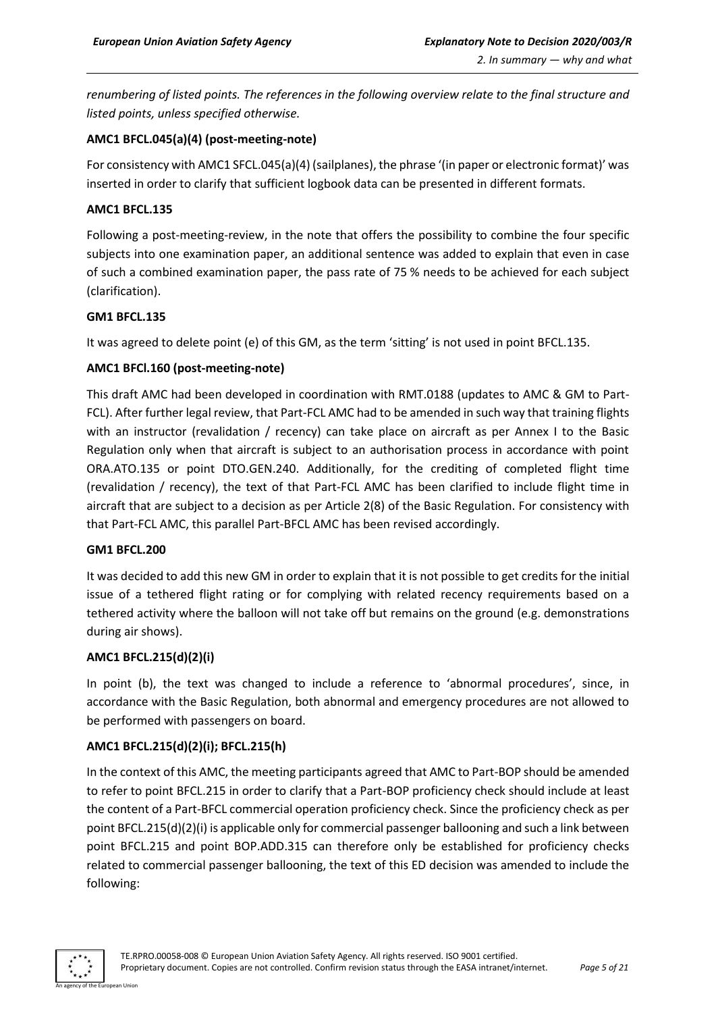*renumbering of listed points. The references in the following overview relate to the final structure and listed points, unless specified otherwise.*

### **AMC1 BFCL.045(a)(4) (post-meeting-note)**

For consistency with AMC1 SFCL.045(a)(4) (sailplanes), the phrase '(in paper or electronic format)' was inserted in order to clarify that sufficient logbook data can be presented in different formats.

#### **AMC1 BFCL.135**

Following a post-meeting-review, in the note that offers the possibility to combine the four specific subjects into one examination paper, an additional sentence was added to explain that even in case of such a combined examination paper, the pass rate of 75 % needs to be achieved for each subject (clarification).

#### **GM1 BFCL.135**

It was agreed to delete point (e) of this GM, as the term 'sitting' is not used in point BFCL.135.

# **AMC1 BFCl.160 (post-meeting-note)**

This draft AMC had been developed in coordination with RMT.0188 (updates to AMC & GM to Part-FCL). After further legal review, that Part-FCL AMC had to be amended in such way that training flights with an instructor (revalidation / recency) can take place on aircraft as per Annex I to the Basic Regulation only when that aircraft is subject to an authorisation process in accordance with point ORA.ATO.135 or point DTO.GEN.240. Additionally, for the crediting of completed flight time (revalidation / recency), the text of that Part-FCL AMC has been clarified to include flight time in aircraft that are subject to a decision as per Article 2(8) of the Basic Regulation. For consistency with that Part-FCL AMC, this parallel Part-BFCL AMC has been revised accordingly.

#### **GM1 BFCL.200**

It was decided to add this new GM in order to explain that it is not possible to get credits for the initial issue of a tethered flight rating or for complying with related recency requirements based on a tethered activity where the balloon will not take off but remains on the ground (e.g. demonstrations during air shows).

#### **AMC1 BFCL.215(d)(2)(i)**

In point (b), the text was changed to include a reference to 'abnormal procedures', since, in accordance with the Basic Regulation, both abnormal and emergency procedures are not allowed to be performed with passengers on board.

#### **AMC1 BFCL.215(d)(2)(i); BFCL.215(h)**

In the context of this AMC, the meeting participants agreed that AMC to Part-BOP should be amended to refer to point BFCL.215 in order to clarify that a Part-BOP proficiency check should include at least the content of a Part-BFCL commercial operation proficiency check. Since the proficiency check as per point BFCL.215(d)(2)(i) is applicable only for commercial passenger ballooning and such a link between point BFCL.215 and point BOP.ADD.315 can therefore only be established for proficiency checks related to commercial passenger ballooning, the text of this ED decision was amended to include the following:

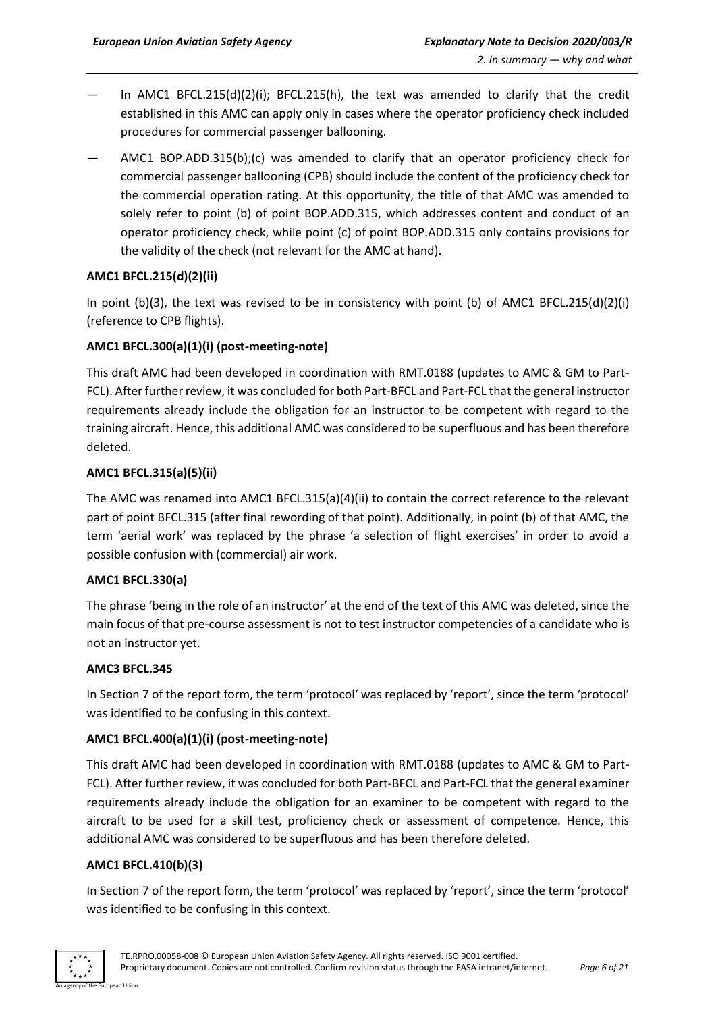- In AMC1 BFCL.215(d)(2)(i); BFCL.215(h), the text was amended to clarify that the credit established in this AMC can apply only in cases where the operator proficiency check included procedures for commercial passenger ballooning.
- AMC1 BOP.ADD.315(b);(c) was amended to clarify that an operator proficiency check for commercial passenger ballooning (CPB) should include the content of the proficiency check for the commercial operation rating. At this opportunity, the title of that AMC was amended to solely refer to point (b) of point BOP.ADD.315, which addresses content and conduct of an operator proficiency check, while point (c) of point BOP.ADD.315 only contains provisions for the validity of the check (not relevant for the AMC at hand).

# **AMC1 BFCL.215(d)(2)(ii)**

In point (b)(3), the text was revised to be in consistency with point (b) of AMC1 BFCL.215(d)(2)(i) (reference to CPB flights).

# **AMC1 BFCL.300(a)(1)(i) (post-meeting-note)**

This draft AMC had been developed in coordination with RMT.0188 (updates to AMC & GM to Part-FCL). After further review, it was concluded for both Part-BFCL and Part-FCL that the general instructor requirements already include the obligation for an instructor to be competent with regard to the training aircraft. Hence, this additional AMC was considered to be superfluous and has been therefore deleted.

#### **AMC1 BFCL.315(a)(5)(ii)**

The AMC was renamed into AMC1 BFCL.315(a)(4)(ii) to contain the correct reference to the relevant part of point BFCL.315 (after final rewording of that point). Additionally, in point (b) of that AMC, the term 'aerial work' was replaced by the phrase 'a selection of flight exercises' in order to avoid a possible confusion with (commercial) air work.

#### **AMC1 BFCL.330(a)**

The phrase 'being in the role of an instructor' at the end of the text of this AMC was deleted, since the main focus of that pre-course assessment is not to test instructor competencies of a candidate who is not an instructor yet.

#### **AMC3 BFCL.345**

In Section 7 of the report form, the term 'protocol' was replaced by 'report', since the term 'protocol' was identified to be confusing in this context.

# **AMC1 BFCL.400(a)(1)(i) (post-meeting-note)**

This draft AMC had been developed in coordination with RMT.0188 (updates to AMC & GM to Part-FCL). After further review, it was concluded for both Part-BFCL and Part-FCL that the general examiner requirements already include the obligation for an examiner to be competent with regard to the aircraft to be used for a skill test, proficiency check or assessment of competence. Hence, this additional AMC was considered to be superfluous and has been therefore deleted.

# **AMC1 BFCL.410(b)(3)**

In Section 7 of the report form, the term 'protocol' was replaced by 'report', since the term 'protocol' was identified to be confusing in this context.

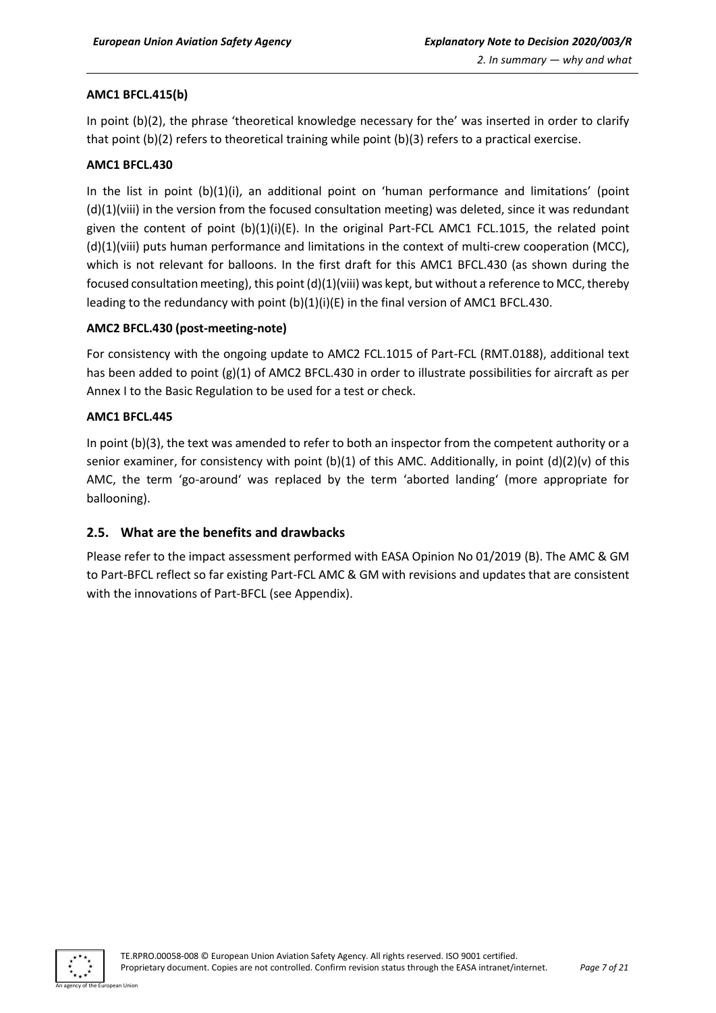#### **AMC1 BFCL.415(b)**

In point (b)(2), the phrase 'theoretical knowledge necessary for the' was inserted in order to clarify that point (b)(2) refers to theoretical training while point (b)(3) refers to a practical exercise.

#### **AMC1 BFCL.430**

In the list in point (b)(1)(i), an additional point on 'human performance and limitations' (point (d)(1)(viii) in the version from the focused consultation meeting) was deleted, since it was redundant given the content of point (b)(1)(i)(E). In the original Part-FCL AMC1 FCL.1015, the related point (d)(1)(viii) puts human performance and limitations in the context of multi-crew cooperation (MCC), which is not relevant for balloons. In the first draft for this AMC1 BFCL.430 (as shown during the focused consultation meeting), this point (d)(1)(viii) was kept, but without a reference to MCC, thereby leading to the redundancy with point (b)(1)(i)(E) in the final version of AMC1 BFCL.430.

#### **AMC2 BFCL.430 (post-meeting-note)**

For consistency with the ongoing update to AMC2 FCL.1015 of Part-FCL (RMT.0188), additional text has been added to point (g)(1) of AMC2 BFCL.430 in order to illustrate possibilities for aircraft as per Annex I to the Basic Regulation to be used for a test or check.

#### **AMC1 BFCL.445**

In point (b)(3), the text was amended to refer to both an inspector from the competent authority or a senior examiner, for consistency with point (b)(1) of this AMC. Additionally, in point (d)(2)(v) of this AMC, the term 'go-around' was replaced by the term 'aborted landing' (more appropriate for ballooning).

#### <span id="page-6-0"></span>**2.5. What are the benefits and drawbacks**

Please refer to the impact assessment performed with EASA Opinion No 01/2019 (B). The AMC & GM to Part-BFCL reflect so far existing Part-FCL AMC & GM with revisions and updates that are consistent with the innovations of Part-BFCL (see Appendix).

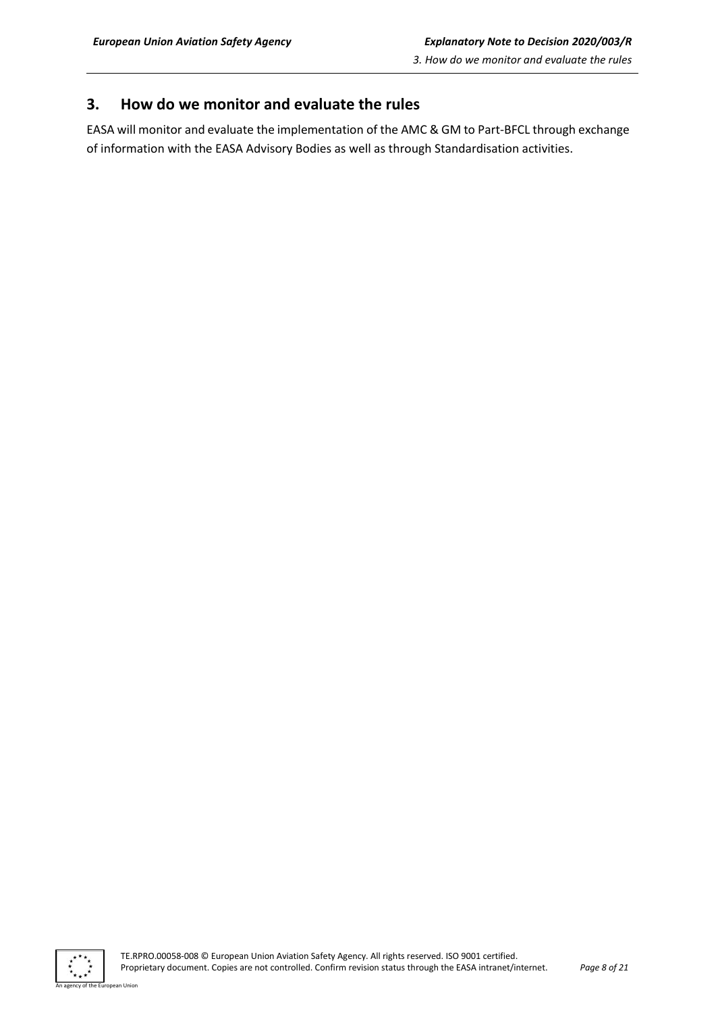# <span id="page-7-0"></span>**3. How do we monitor and evaluate the rules**

EASA will monitor and evaluate the implementation of the AMC & GM to Part-BFCL through exchange of information with the EASA Advisory Bodies as well as through Standardisation activities.



an Hoio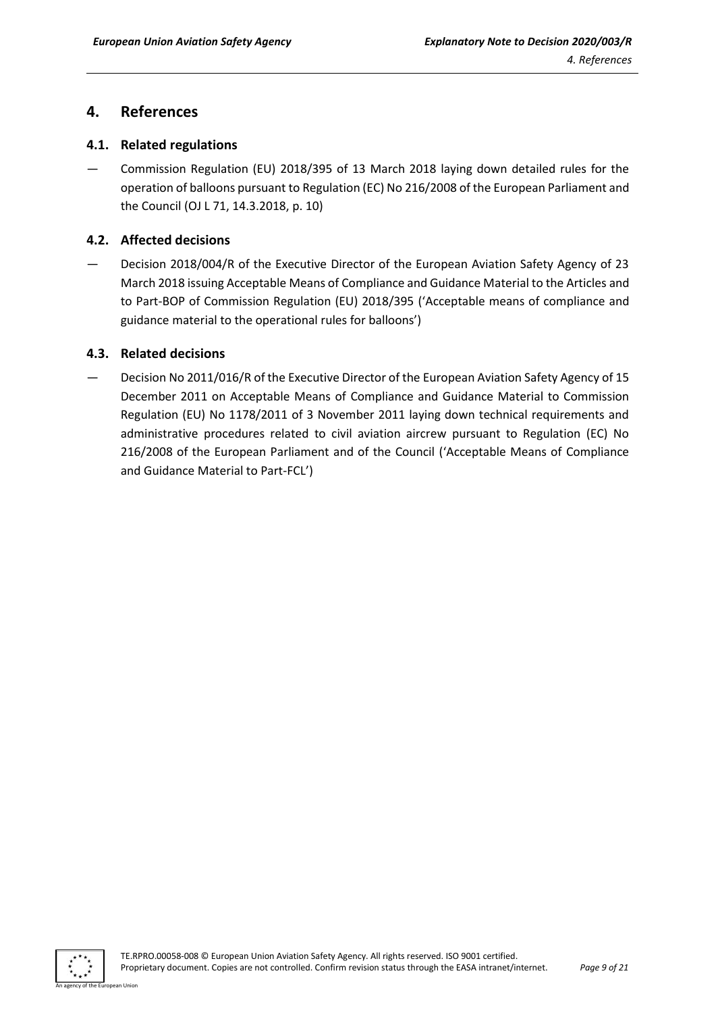# <span id="page-8-0"></span>**4. References**

# <span id="page-8-1"></span>**4.1. Related regulations**

— Commission Regulation (EU) 2018/395 of 13 March 2018 laying down detailed rules for the operation of balloons pursuant to Regulation (EC) No 216/2008 of the European Parliament and the Council (OJ L 71, 14.3.2018, p. 10)

# <span id="page-8-2"></span>**4.2. Affected decisions**

— Decision 2018/004/R of the Executive Director of the European Aviation Safety Agency of 23 March 2018 issuing Acceptable Means of Compliance and Guidance Material to the Articles and to Part-BOP of Commission Regulation (EU) 2018/395 ('Acceptable means of compliance and guidance material to the operational rules for balloons')

# <span id="page-8-3"></span>**4.3. Related decisions**

— Decision No 2011/016/R of the Executive Director of the European Aviation Safety Agency of 15 December 2011 on Acceptable Means of Compliance and Guidance Material to Commission Regulation (EU) No 1178/2011 of 3 November 2011 laying down technical requirements and administrative procedures related to civil aviation aircrew pursuant to Regulation (EC) No 216/2008 of the European Parliament and of the Council ('Acceptable Means of Compliance and Guidance Material to Part-FCL')

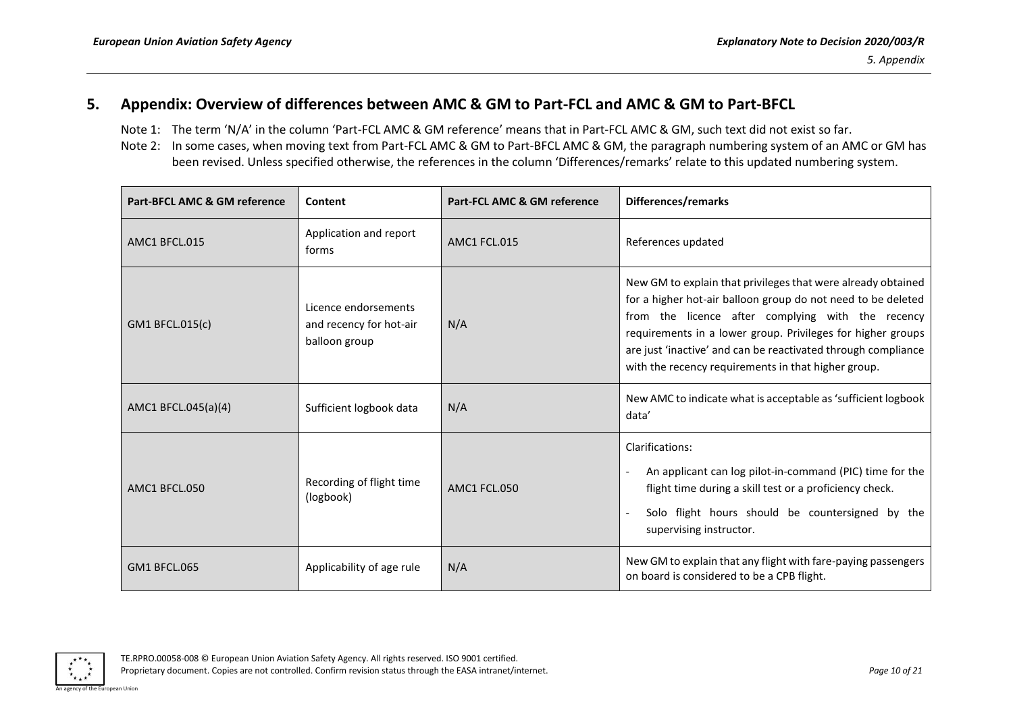# **5. Appendix: Overview of differences between AMC & GM to Part-FCL and AMC & GM to Part-BFCL**

- Note 1: The term 'N/A' in the column 'Part-FCL AMC & GM reference' means that in Part-FCL AMC & GM, such text did not exist so far.
- Note 2: In some cases, when moving text from Part-FCL AMC & GM to Part-BFCL AMC & GM, the paragraph numbering system of an AMC or GM has been revised. Unless specified otherwise, the references in the column 'Differences/remarks' relate to this updated numbering system.

<span id="page-9-0"></span>

| Part-BFCL AMC & GM reference | Content                                                          | Part-FCL AMC & GM reference | Differences/remarks                                                                                                                                                                                                                                                                                                                                                      |
|------------------------------|------------------------------------------------------------------|-----------------------------|--------------------------------------------------------------------------------------------------------------------------------------------------------------------------------------------------------------------------------------------------------------------------------------------------------------------------------------------------------------------------|
| AMC1 BFCL.015                | Application and report<br>forms                                  | AMC1 FCL.015                | References updated                                                                                                                                                                                                                                                                                                                                                       |
| GM1 BFCL.015(c)              | Licence endorsements<br>and recency for hot-air<br>balloon group | N/A                         | New GM to explain that privileges that were already obtained<br>for a higher hot-air balloon group do not need to be deleted<br>from the licence after complying with the recency<br>requirements in a lower group. Privileges for higher groups<br>are just 'inactive' and can be reactivated through compliance<br>with the recency requirements in that higher group. |
| AMC1 BFCL.045(a)(4)          | Sufficient logbook data                                          | N/A                         | New AMC to indicate what is acceptable as 'sufficient logbook<br>data'                                                                                                                                                                                                                                                                                                   |
| AMC1 BFCL.050                | Recording of flight time<br>(logbook)                            | <b>AMC1 FCL.050</b>         | Clarifications:<br>An applicant can log pilot-in-command (PIC) time for the<br>flight time during a skill test or a proficiency check.<br>Solo flight hours should be countersigned by the<br>supervising instructor.                                                                                                                                                    |
| <b>GM1 BFCL.065</b>          | Applicability of age rule                                        | N/A                         | New GM to explain that any flight with fare-paying passengers<br>on board is considered to be a CPB flight.                                                                                                                                                                                                                                                              |

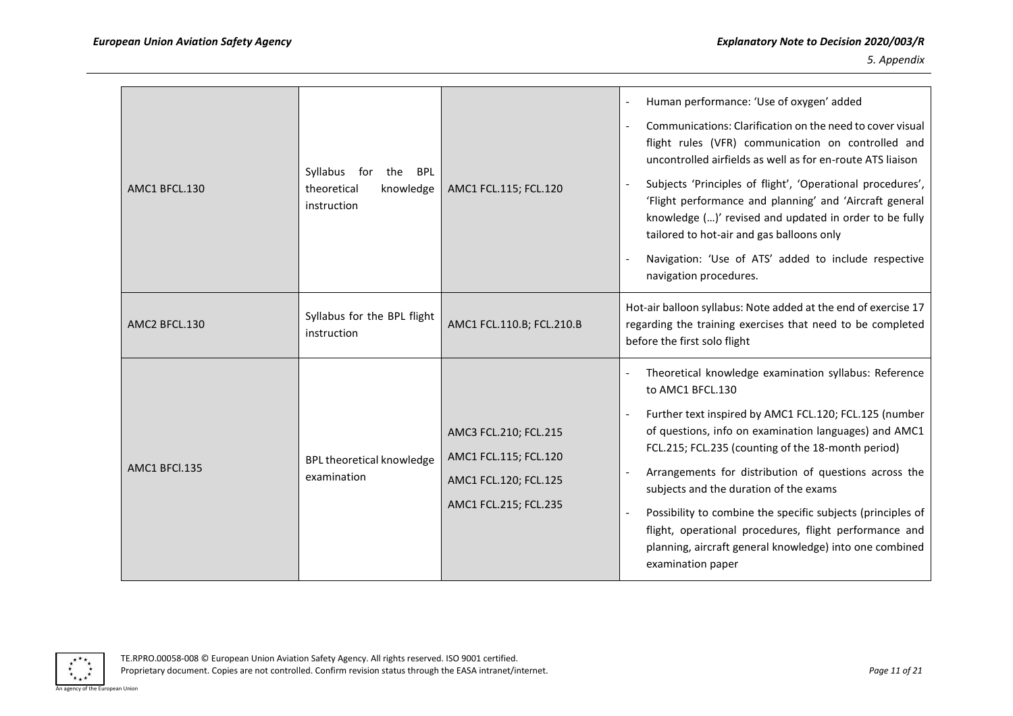| AMC1 BFCL.130 | Syllabus for the<br><b>BPL</b><br>theoretical<br>knowledge<br>instruction | AMC1 FCL.115; FCL.120                                                                            | Human performance: 'Use of oxygen' added<br>Communications: Clarification on the need to cover visual<br>flight rules (VFR) communication on controlled and<br>uncontrolled airfields as well as for en-route ATS liaison<br>Subjects 'Principles of flight', 'Operational procedures',<br>'Flight performance and planning' and 'Aircraft general<br>knowledge ()' revised and updated in order to be fully<br>tailored to hot-air and gas balloons only<br>Navigation: 'Use of ATS' added to include respective<br>navigation procedures.                    |
|---------------|---------------------------------------------------------------------------|--------------------------------------------------------------------------------------------------|----------------------------------------------------------------------------------------------------------------------------------------------------------------------------------------------------------------------------------------------------------------------------------------------------------------------------------------------------------------------------------------------------------------------------------------------------------------------------------------------------------------------------------------------------------------|
| AMC2 BFCL.130 | Syllabus for the BPL flight<br>instruction                                | AMC1 FCL.110.B; FCL.210.B                                                                        | Hot-air balloon syllabus: Note added at the end of exercise 17<br>regarding the training exercises that need to be completed<br>before the first solo flight                                                                                                                                                                                                                                                                                                                                                                                                   |
| AMC1 BFCl.135 | BPL theoretical knowledge<br>examination                                  | AMC3 FCL.210; FCL.215<br>AMC1 FCL.115; FCL.120<br>AMC1 FCL.120; FCL.125<br>AMC1 FCL.215; FCL.235 | Theoretical knowledge examination syllabus: Reference<br>to AMC1 BFCL.130<br>Further text inspired by AMC1 FCL.120; FCL.125 (number<br>of questions, info on examination languages) and AMC1<br>FCL.215; FCL.235 (counting of the 18-month period)<br>Arrangements for distribution of questions across the<br>subjects and the duration of the exams<br>Possibility to combine the specific subjects (principles of<br>flight, operational procedures, flight performance and<br>planning, aircraft general knowledge) into one combined<br>examination paper |

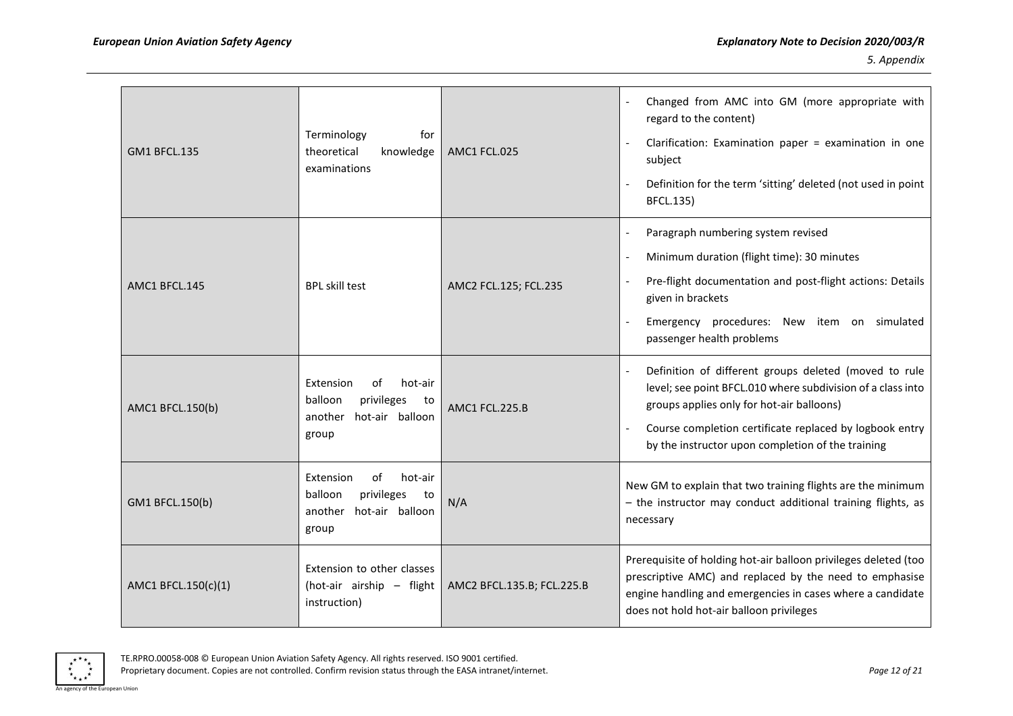| <b>GM1 BFCL.135</b> | Terminology<br>for<br>theoretical<br>knowledge<br>examinations                                   | AMC1 FCL.025               | Changed from AMC into GM (more appropriate with<br>regard to the content)<br>Clarification: Examination paper = examination in one<br>subject<br>Definition for the term 'sitting' deleted (not used in point<br><b>BFCL.135)</b>                                                 |
|---------------------|--------------------------------------------------------------------------------------------------|----------------------------|-----------------------------------------------------------------------------------------------------------------------------------------------------------------------------------------------------------------------------------------------------------------------------------|
| AMC1 BFCL.145       | <b>BPL skill test</b>                                                                            | AMC2 FCL.125; FCL.235      | Paragraph numbering system revised<br>Minimum duration (flight time): 30 minutes<br>Pre-flight documentation and post-flight actions: Details<br>given in brackets<br>Emergency procedures: New item on simulated<br>passenger health problems                                    |
| AMC1 BFCL.150(b)    | hot-air<br>Extension<br>οf<br>balloon<br>privileges<br>to<br>hot-air balloon<br>another<br>group | AMC1 FCL.225.B             | Definition of different groups deleted (moved to rule<br>level; see point BFCL.010 where subdivision of a class into<br>groups applies only for hot-air balloons)<br>Course completion certificate replaced by logbook entry<br>by the instructor upon completion of the training |
| GM1 BFCL.150(b)     | of<br>hot-air<br>Extension<br>balloon<br>privileges<br>to<br>hot-air balloon<br>another<br>group | N/A                        | New GM to explain that two training flights are the minimum<br>- the instructor may conduct additional training flights, as<br>necessary                                                                                                                                          |
| AMC1 BFCL.150(c)(1) | Extension to other classes<br>(hot-air airship - flight<br>instruction)                          | AMC2 BFCL.135.B; FCL.225.B | Prerequisite of holding hot-air balloon privileges deleted (too<br>prescriptive AMC) and replaced by the need to emphasise<br>engine handling and emergencies in cases where a candidate<br>does not hold hot-air balloon privileges                                              |



Proprietary document. Copies are not controlled. Confirm revision status through the EASA intranet/internet. *Page 12 of 21*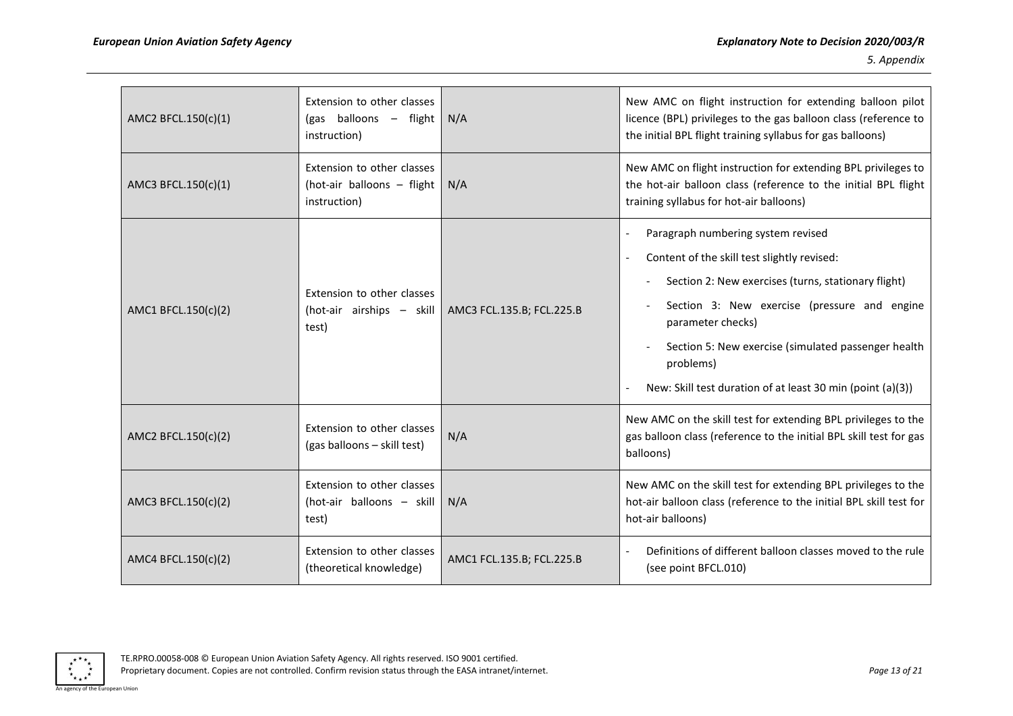| AMC2 BFCL.150(c)(1) | Extension to other classes<br>(gas balloons - flight<br>instruction)     | N/A                       | New AMC on flight instruction for extending balloon pilot<br>licence (BPL) privileges to the gas balloon class (reference to<br>the initial BPL flight training syllabus for gas balloons)                                                                                                                                                      |
|---------------------|--------------------------------------------------------------------------|---------------------------|-------------------------------------------------------------------------------------------------------------------------------------------------------------------------------------------------------------------------------------------------------------------------------------------------------------------------------------------------|
| AMC3 BFCL.150(c)(1) | Extension to other classes<br>(hot-air balloons - flight<br>instruction) | N/A                       | New AMC on flight instruction for extending BPL privileges to<br>the hot-air balloon class (reference to the initial BPL flight<br>training syllabus for hot-air balloons)                                                                                                                                                                      |
| AMC1 BFCL.150(c)(2) | Extension to other classes<br>(hot-air airships - skill<br>test)         | AMC3 FCL.135.B; FCL.225.B | Paragraph numbering system revised<br>Content of the skill test slightly revised:<br>Section 2: New exercises (turns, stationary flight)<br>Section 3: New exercise (pressure and engine<br>parameter checks)<br>Section 5: New exercise (simulated passenger health<br>problems)<br>New: Skill test duration of at least 30 min (point (a)(3)) |
| AMC2 BFCL.150(c)(2) | Extension to other classes<br>(gas balloons - skill test)                | N/A                       | New AMC on the skill test for extending BPL privileges to the<br>gas balloon class (reference to the initial BPL skill test for gas<br>balloons)                                                                                                                                                                                                |
| AMC3 BFCL.150(c)(2) | Extension to other classes<br>(hot-air balloons - skill<br>test)         | N/A                       | New AMC on the skill test for extending BPL privileges to the<br>hot-air balloon class (reference to the initial BPL skill test for<br>hot-air balloons)                                                                                                                                                                                        |
| AMC4 BFCL.150(c)(2) | Extension to other classes<br>(theoretical knowledge)                    | AMC1 FCL.135.B; FCL.225.B | Definitions of different balloon classes moved to the rule<br>(see point BFCL.010)                                                                                                                                                                                                                                                              |

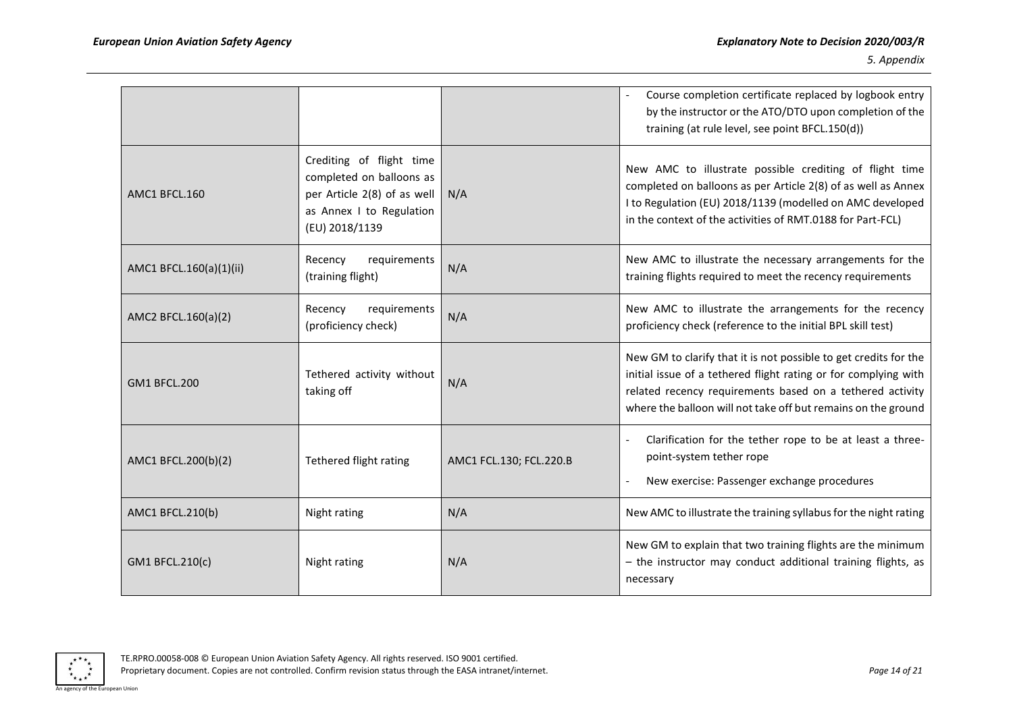|                         |                                                                                                                                   |                         | Course completion certificate replaced by logbook entry<br>by the instructor or the ATO/DTO upon completion of the<br>training (at rule level, see point BFCL.150(d))                                                                                             |
|-------------------------|-----------------------------------------------------------------------------------------------------------------------------------|-------------------------|-------------------------------------------------------------------------------------------------------------------------------------------------------------------------------------------------------------------------------------------------------------------|
| AMC1 BFCL.160           | Crediting of flight time<br>completed on balloons as<br>per Article 2(8) of as well<br>as Annex I to Regulation<br>(EU) 2018/1139 | N/A                     | New AMC to illustrate possible crediting of flight time<br>completed on balloons as per Article 2(8) of as well as Annex<br>I to Regulation (EU) 2018/1139 (modelled on AMC developed<br>in the context of the activities of RMT.0188 for Part-FCL)               |
| AMC1 BFCL.160(a)(1)(ii) | requirements<br>Recency<br>(training flight)                                                                                      | N/A                     | New AMC to illustrate the necessary arrangements for the<br>training flights required to meet the recency requirements                                                                                                                                            |
| AMC2 BFCL.160(a)(2)     | requirements<br>Recency<br>(proficiency check)                                                                                    | N/A                     | New AMC to illustrate the arrangements for the recency<br>proficiency check (reference to the initial BPL skill test)                                                                                                                                             |
| <b>GM1 BFCL.200</b>     | Tethered activity without<br>taking off                                                                                           | N/A                     | New GM to clarify that it is not possible to get credits for the<br>initial issue of a tethered flight rating or for complying with<br>related recency requirements based on a tethered activity<br>where the balloon will not take off but remains on the ground |
| AMC1 BFCL.200(b)(2)     | Tethered flight rating                                                                                                            | AMC1 FCL.130; FCL.220.B | Clarification for the tether rope to be at least a three-<br>point-system tether rope<br>New exercise: Passenger exchange procedures                                                                                                                              |
| AMC1 BFCL.210(b)        | Night rating                                                                                                                      | N/A                     | New AMC to illustrate the training syllabus for the night rating                                                                                                                                                                                                  |
| GM1 BFCL.210(c)         | Night rating                                                                                                                      | N/A                     | New GM to explain that two training flights are the minimum<br>- the instructor may conduct additional training flights, as<br>necessary                                                                                                                          |

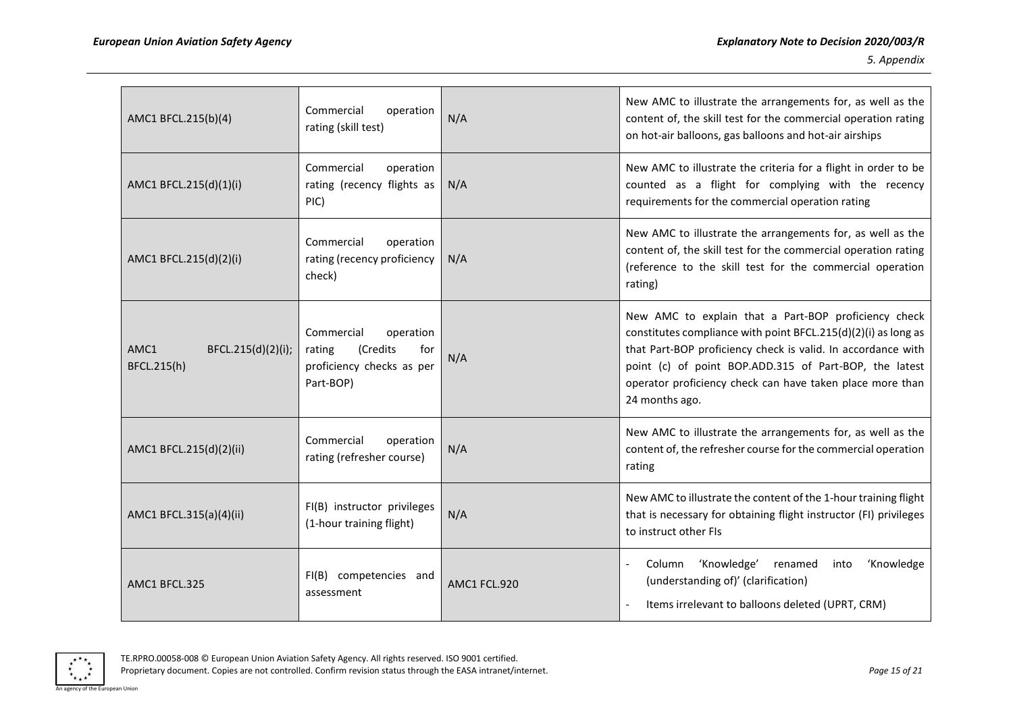| AMC1 BFCL.215(b)(4)                       | Commercial<br>operation<br>rating (skill test)                                                 | N/A          | New AMC to illustrate the arrangements for, as well as the<br>content of, the skill test for the commercial operation rating<br>on hot-air balloons, gas balloons and hot-air airships                                                                                                                                          |
|-------------------------------------------|------------------------------------------------------------------------------------------------|--------------|---------------------------------------------------------------------------------------------------------------------------------------------------------------------------------------------------------------------------------------------------------------------------------------------------------------------------------|
| AMC1 BFCL.215(d)(1)(i)                    | Commercial<br>operation<br>rating (recency flights as<br>PIC)                                  | N/A          | New AMC to illustrate the criteria for a flight in order to be<br>counted as a flight for complying with the recency<br>requirements for the commercial operation rating                                                                                                                                                        |
| AMC1 BFCL.215(d)(2)(i)                    | Commercial<br>operation<br>rating (recency proficiency<br>check)                               | N/A          | New AMC to illustrate the arrangements for, as well as the<br>content of, the skill test for the commercial operation rating<br>(reference to the skill test for the commercial operation<br>rating)                                                                                                                            |
| AMC1<br>BFCL.215(d)(2)(i);<br>BFCL.215(h) | Commercial<br>operation<br>(Credits<br>for<br>rating<br>proficiency checks as per<br>Part-BOP) | N/A          | New AMC to explain that a Part-BOP proficiency check<br>constitutes compliance with point BFCL.215(d)(2)(i) as long as<br>that Part-BOP proficiency check is valid. In accordance with<br>point (c) of point BOP.ADD.315 of Part-BOP, the latest<br>operator proficiency check can have taken place more than<br>24 months ago. |
| AMC1 BFCL.215(d)(2)(ii)                   | Commercial<br>operation<br>rating (refresher course)                                           | N/A          | New AMC to illustrate the arrangements for, as well as the<br>content of, the refresher course for the commercial operation<br>rating                                                                                                                                                                                           |
| AMC1 BFCL.315(a)(4)(ii)                   | FI(B) instructor privileges<br>(1-hour training flight)                                        | N/A          | New AMC to illustrate the content of the 1-hour training flight<br>that is necessary for obtaining flight instructor (FI) privileges<br>to instruct other FIs                                                                                                                                                                   |
| AMC1 BFCL.325                             | FI(B) competencies and<br>assessment                                                           | AMC1 FCL.920 | 'Knowledge'<br>'Knowledge<br>Column<br>renamed<br>into<br>(understanding of)' (clarification)<br>Items irrelevant to balloons deleted (UPRT, CRM)<br>$\sim$                                                                                                                                                                     |

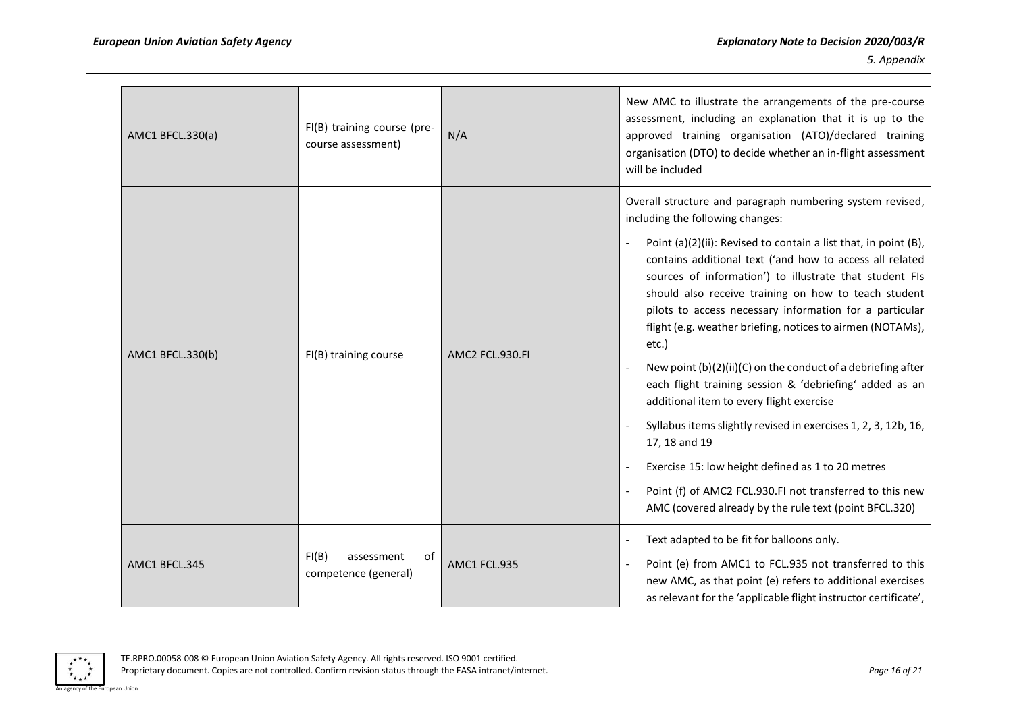| AMC1 BFCL.330(a) | FI(B) training course (pre-<br>course assessment) | N/A             | New AMC to illustrate the arrangements of the pre-course<br>assessment, including an explanation that it is up to the<br>approved training organisation (ATO)/declared training<br>organisation (DTO) to decide whether an in-flight assessment<br>will be included                                                                                                                                                                                                                                                                                                                                                                                                                                                                                                                                                                                                                                                    |
|------------------|---------------------------------------------------|-----------------|------------------------------------------------------------------------------------------------------------------------------------------------------------------------------------------------------------------------------------------------------------------------------------------------------------------------------------------------------------------------------------------------------------------------------------------------------------------------------------------------------------------------------------------------------------------------------------------------------------------------------------------------------------------------------------------------------------------------------------------------------------------------------------------------------------------------------------------------------------------------------------------------------------------------|
| AMC1 BFCL.330(b) | FI(B) training course                             | AMC2 FCL.930.FI | Overall structure and paragraph numbering system revised,<br>including the following changes:<br>Point (a)(2)(ii): Revised to contain a list that, in point (B),<br>contains additional text ('and how to access all related<br>sources of information') to illustrate that student FIs<br>should also receive training on how to teach student<br>pilots to access necessary information for a particular<br>flight (e.g. weather briefing, notices to airmen (NOTAMs),<br>etc.)<br>New point (b)(2)(ii)(C) on the conduct of a debriefing after<br>each flight training session & 'debriefing' added as an<br>additional item to every flight exercise<br>Syllabus items slightly revised in exercises 1, 2, 3, 12b, 16,<br>17, 18 and 19<br>Exercise 15: low height defined as 1 to 20 metres<br>Point (f) of AMC2 FCL.930.FI not transferred to this new<br>AMC (covered already by the rule text (point BFCL.320) |
| AMC1 BFCL.345    | FI(B)<br>of<br>assessment<br>competence (general) | AMC1 FCL.935    | Text adapted to be fit for balloons only.<br>Point (e) from AMC1 to FCL.935 not transferred to this<br>new AMC, as that point (e) refers to additional exercises<br>as relevant for the 'applicable flight instructor certificate',                                                                                                                                                                                                                                                                                                                                                                                                                                                                                                                                                                                                                                                                                    |

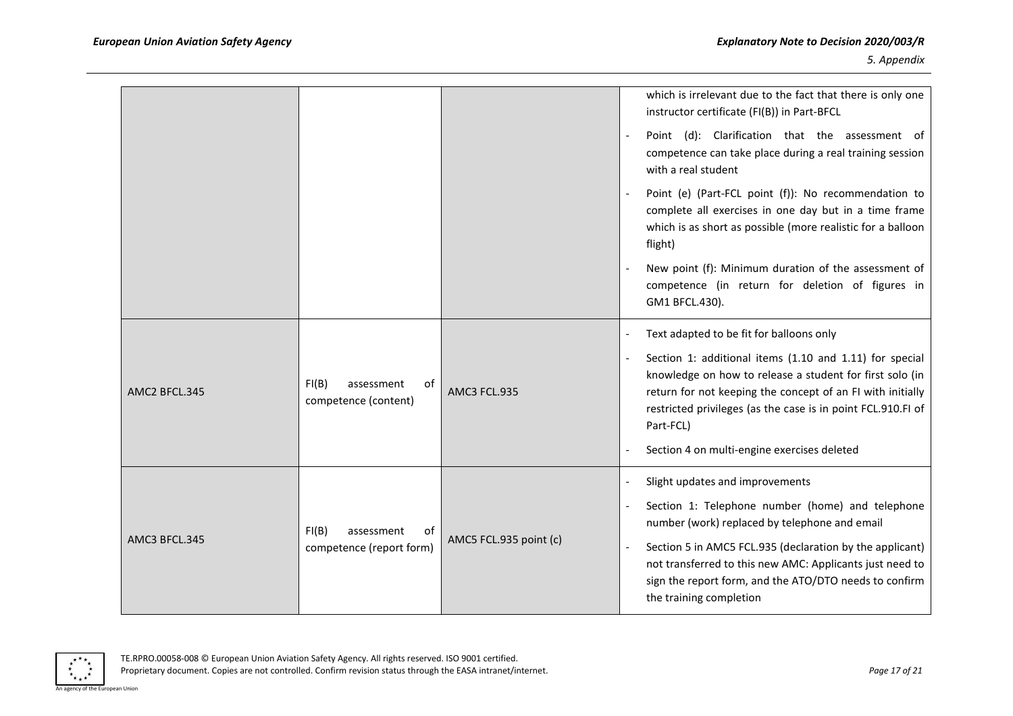|               |                                                       |                        |                          | which is irrelevant due to the fact that there is only one<br>instructor certificate (FI(B)) in Part-BFCL<br>Point (d): Clarification that the assessment of                                                                                                   |
|---------------|-------------------------------------------------------|------------------------|--------------------------|----------------------------------------------------------------------------------------------------------------------------------------------------------------------------------------------------------------------------------------------------------------|
|               |                                                       |                        |                          | competence can take place during a real training session<br>with a real student                                                                                                                                                                                |
|               |                                                       |                        |                          | Point (e) (Part-FCL point (f)): No recommendation to<br>complete all exercises in one day but in a time frame<br>which is as short as possible (more realistic for a balloon<br>flight)                                                                        |
|               |                                                       |                        |                          | New point (f): Minimum duration of the assessment of<br>competence (in return for deletion of figures in<br>GM1 BFCL.430).                                                                                                                                     |
|               |                                                       |                        |                          | Text adapted to be fit for balloons only                                                                                                                                                                                                                       |
| AMC2 BFCL.345 | FI(B)<br>assessment<br>0f<br>competence (content)     | AMC3 FCL.935           |                          | Section 1: additional items (1.10 and 1.11) for special<br>knowledge on how to release a student for first solo (in<br>return for not keeping the concept of an FI with initially<br>restricted privileges (as the case is in point FCL.910.FI of<br>Part-FCL) |
|               |                                                       |                        |                          | Section 4 on multi-engine exercises deleted                                                                                                                                                                                                                    |
|               | FI(B)<br>assessment<br>of<br>competence (report form) | AMC5 FCL.935 point (c) | $\overline{\phantom{a}}$ | Slight updates and improvements                                                                                                                                                                                                                                |
| AMC3 BFCL.345 |                                                       |                        |                          | Section 1: Telephone number (home) and telephone<br>number (work) replaced by telephone and email                                                                                                                                                              |
|               |                                                       |                        |                          | Section 5 in AMC5 FCL.935 (declaration by the applicant)<br>not transferred to this new AMC: Applicants just need to<br>sign the report form, and the ATO/DTO needs to confirm<br>the training completion                                                      |

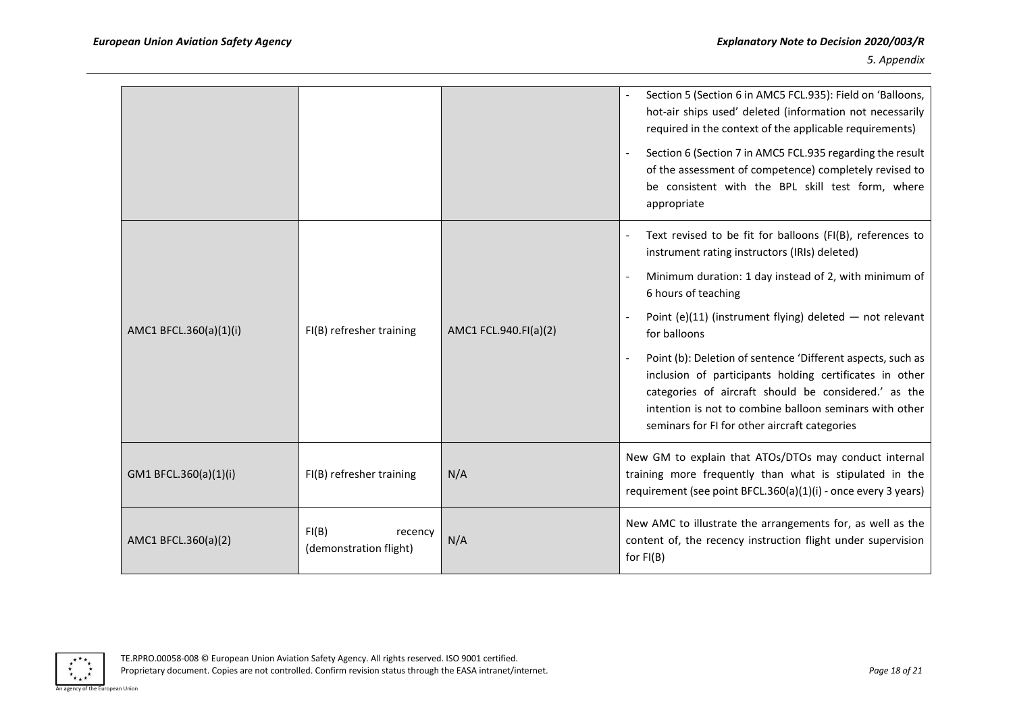|                        |                                            |                       | Section 5 (Section 6 in AMC5 FCL.935): Field on 'Balloons,<br>hot-air ships used' deleted (information not necessarily<br>required in the context of the applicable requirements)<br>Section 6 (Section 7 in AMC5 FCL.935 regarding the result<br>of the assessment of competence) completely revised to<br>be consistent with the BPL skill test form, where<br>appropriate |
|------------------------|--------------------------------------------|-----------------------|------------------------------------------------------------------------------------------------------------------------------------------------------------------------------------------------------------------------------------------------------------------------------------------------------------------------------------------------------------------------------|
|                        |                                            |                       | Text revised to be fit for balloons (FI(B), references to<br>instrument rating instructors (IRIs) deleted)                                                                                                                                                                                                                                                                   |
|                        | FI(B) refresher training                   | AMC1 FCL.940.FI(a)(2) | Minimum duration: 1 day instead of 2, with minimum of<br>6 hours of teaching                                                                                                                                                                                                                                                                                                 |
| AMC1 BFCL.360(a)(1)(i) |                                            |                       | Point (e)(11) (instrument flying) deleted $-$ not relevant<br>for balloons                                                                                                                                                                                                                                                                                                   |
|                        |                                            |                       | Point (b): Deletion of sentence 'Different aspects, such as<br>inclusion of participants holding certificates in other<br>categories of aircraft should be considered.' as the<br>intention is not to combine balloon seminars with other<br>seminars for FI for other aircraft categories                                                                                   |
| GM1 BFCL.360(a)(1)(i)  | FI(B) refresher training                   | N/A                   | New GM to explain that ATOs/DTOs may conduct internal<br>training more frequently than what is stipulated in the<br>requirement (see point BFCL.360(a)(1)(i) - once every 3 years)                                                                                                                                                                                           |
| AMC1 BFCL.360(a)(2)    | FI(B)<br>recency<br>(demonstration flight) | N/A                   | New AMC to illustrate the arrangements for, as well as the<br>content of, the recency instruction flight under supervision<br>for $FI(B)$                                                                                                                                                                                                                                    |

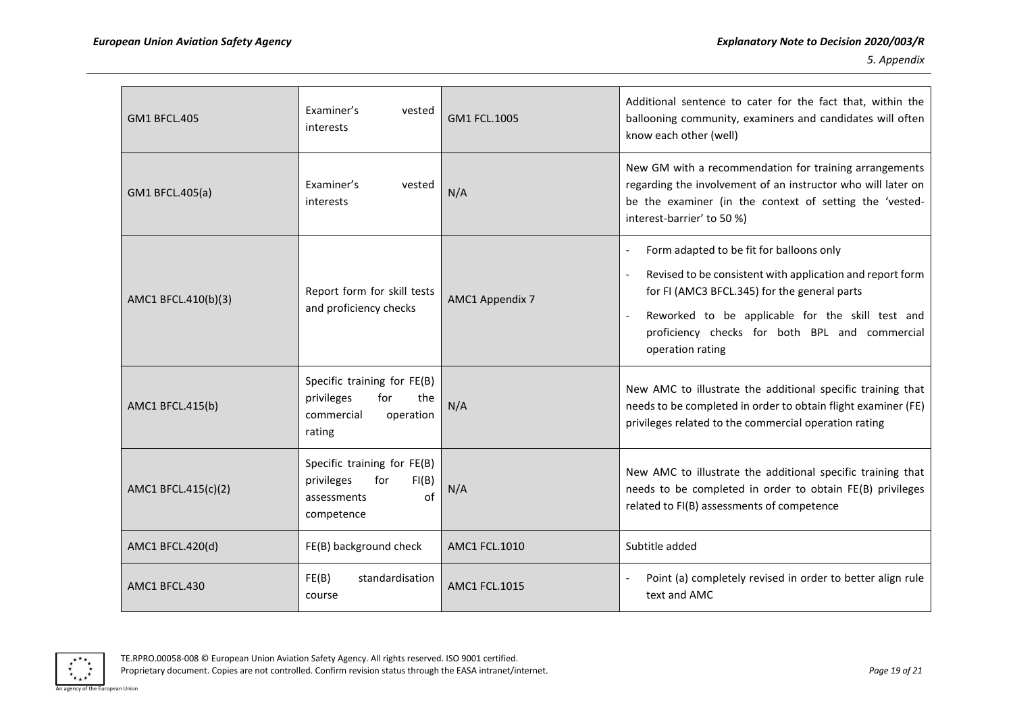| <b>GM1 BFCL.405</b> | Examiner's<br>vested<br>interests                                                            | GM1 FCL.1005         | Additional sentence to cater for the fact that, within the<br>ballooning community, examiners and candidates will often<br>know each other (well)                                                                                                                                                                             |
|---------------------|----------------------------------------------------------------------------------------------|----------------------|-------------------------------------------------------------------------------------------------------------------------------------------------------------------------------------------------------------------------------------------------------------------------------------------------------------------------------|
| GM1 BFCL.405(a)     | Examiner's<br>vested<br>interests                                                            | N/A                  | New GM with a recommendation for training arrangements<br>regarding the involvement of an instructor who will later on<br>be the examiner (in the context of setting the 'vested-<br>interest-barrier' to 50 %)                                                                                                               |
| AMC1 BFCL.410(b)(3) | Report form for skill tests<br>and proficiency checks                                        | AMC1 Appendix 7      | Form adapted to be fit for balloons only<br>$\overline{\phantom{a}}$<br>Revised to be consistent with application and report form<br>$\blacksquare$<br>for FI (AMC3 BFCL.345) for the general parts<br>Reworked to be applicable for the skill test and<br>proficiency checks for both BPL and commercial<br>operation rating |
| AMC1 BFCL.415(b)    | Specific training for FE(B)<br>privileges<br>for<br>the<br>commercial<br>operation<br>rating | N/A                  | New AMC to illustrate the additional specific training that<br>needs to be completed in order to obtain flight examiner (FE)<br>privileges related to the commercial operation rating                                                                                                                                         |
| AMC1 BFCL.415(c)(2) | Specific training for FE(B)<br>privileges<br>FI(B)<br>for<br>of<br>assessments<br>competence | N/A                  | New AMC to illustrate the additional specific training that<br>needs to be completed in order to obtain FE(B) privileges<br>related to FI(B) assessments of competence                                                                                                                                                        |
| AMC1 BFCL.420(d)    | FE(B) background check                                                                       | AMC1 FCL.1010        | Subtitle added                                                                                                                                                                                                                                                                                                                |
| AMC1 BFCL.430       | FE(B)<br>standardisation<br>course                                                           | <b>AMC1 FCL.1015</b> | Point (a) completely revised in order to better align rule<br>text and AMC                                                                                                                                                                                                                                                    |

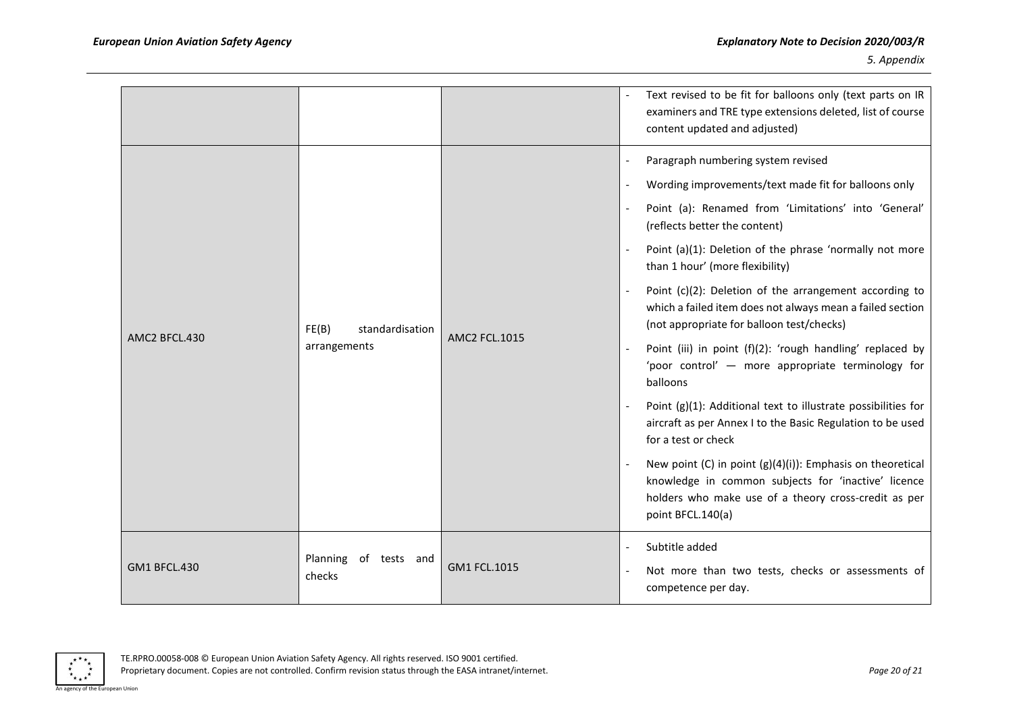|                     |                                          |                      | Text revised to be fit for balloons only (text parts on IR<br>examiners and TRE type extensions deleted, list of course<br>content updated and adjusted)                                                                                                                                                                                                                                                                                                                                                                                                                                                                                                                                                                                                                                                                                                                                                                                      |
|---------------------|------------------------------------------|----------------------|-----------------------------------------------------------------------------------------------------------------------------------------------------------------------------------------------------------------------------------------------------------------------------------------------------------------------------------------------------------------------------------------------------------------------------------------------------------------------------------------------------------------------------------------------------------------------------------------------------------------------------------------------------------------------------------------------------------------------------------------------------------------------------------------------------------------------------------------------------------------------------------------------------------------------------------------------|
| AMC2 BFCL.430       | FE(B)<br>standardisation<br>arrangements | <b>AMC2 FCL.1015</b> | Paragraph numbering system revised<br>Wording improvements/text made fit for balloons only<br>Point (a): Renamed from 'Limitations' into 'General'<br>(reflects better the content)<br>Point (a)(1): Deletion of the phrase 'normally not more<br>than 1 hour' (more flexibility)<br>Point (c)(2): Deletion of the arrangement according to<br>which a failed item does not always mean a failed section<br>(not appropriate for balloon test/checks)<br>Point (iii) in point (f)(2): 'rough handling' replaced by<br>'poor control' - more appropriate terminology for<br>balloons<br>Point (g)(1): Additional text to illustrate possibilities for<br>aircraft as per Annex I to the Basic Regulation to be used<br>for a test or check<br>New point (C) in point $(g)(4)(i)$ : Emphasis on theoretical<br>knowledge in common subjects for 'inactive' licence<br>holders who make use of a theory cross-credit as per<br>point BFCL.140(a) |
| <b>GM1 BFCL.430</b> | Planning<br>of tests and<br>checks       | GM1 FCL.1015         | Subtitle added<br>Not more than two tests, checks or assessments of<br>competence per day.                                                                                                                                                                                                                                                                                                                                                                                                                                                                                                                                                                                                                                                                                                                                                                                                                                                    |